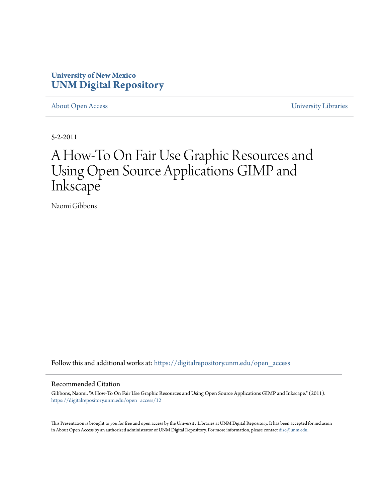#### **University of New Mexico [UNM Digital Repository](https://digitalrepository.unm.edu?utm_source=digitalrepository.unm.edu%2Fopen_access%2F12&utm_medium=PDF&utm_campaign=PDFCoverPages)**

[About Open Access](https://digitalrepository.unm.edu/open_access?utm_source=digitalrepository.unm.edu%2Fopen_access%2F12&utm_medium=PDF&utm_campaign=PDFCoverPages) [University Libraries](https://digitalrepository.unm.edu/libraries?utm_source=digitalrepository.unm.edu%2Fopen_access%2F12&utm_medium=PDF&utm_campaign=PDFCoverPages)

5-2-2011

#### A How-To On Fair Use Graphic Resources and Using Open Source Applications GIMP and Inkscape

Naomi Gibbons

Follow this and additional works at: [https://digitalrepository.unm.edu/open\\_access](https://digitalrepository.unm.edu/open_access?utm_source=digitalrepository.unm.edu%2Fopen_access%2F12&utm_medium=PDF&utm_campaign=PDFCoverPages)

#### Recommended Citation

Gibbons, Naomi. "A How-To On Fair Use Graphic Resources and Using Open Source Applications GIMP and Inkscape." (2011). [https://digitalrepository.unm.edu/open\\_access/12](https://digitalrepository.unm.edu/open_access/12?utm_source=digitalrepository.unm.edu%2Fopen_access%2F12&utm_medium=PDF&utm_campaign=PDFCoverPages)

This Presentation is brought to you for free and open access by the University Libraries at UNM Digital Repository. It has been accepted for inclusion in About Open Access by an authorized administrator of UNM Digital Repository. For more information, please contact [disc@unm.edu](mailto:disc@unm.edu).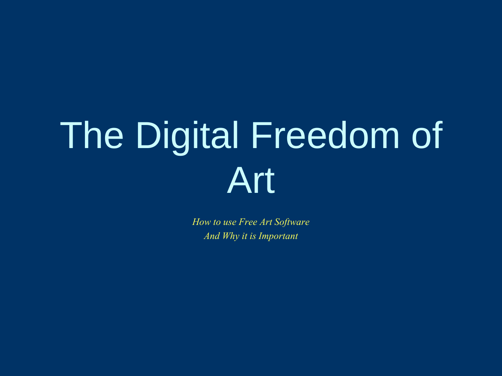## The Digital Freedom of Art

*How to use Free Art Software And Why it is Important*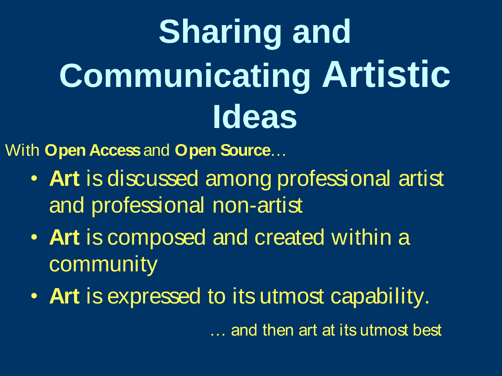## **Sharing and Communicating Artistic Ideas**

With **Open Access**and **Open Source**…

- **Art** is discussed among professional artist and professional non-artist
- **Art** is composed and created within a community
- **Art** is expressed to its utmost capability.

... and then art at its utmost best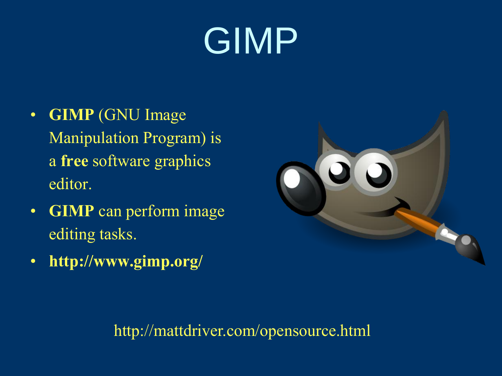## GIMP

- **GIMP** (GNU Image Manipulation Program) is a **free** software graphics editor.
- **GIMP** can perform image editing tasks.
- **http://www.gimp.org/**



http://mattdriver.com/opensource.html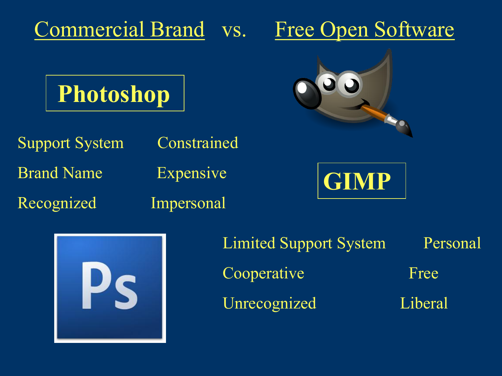| Commercial Brand vs. |             | Free Open Software |  |  |
|----------------------|-------------|--------------------|--|--|
| Photoshop            |             |                    |  |  |
| Support System       | Constrained |                    |  |  |
| <b>Brand Name</b>    | Expensive   | GIMP               |  |  |
| Recognized           | Impersonal  |                    |  |  |



| <b>Limited Support System</b> | Personal |
|-------------------------------|----------|
| Cooperative                   | Free     |
| Unrecognized                  | Liberal  |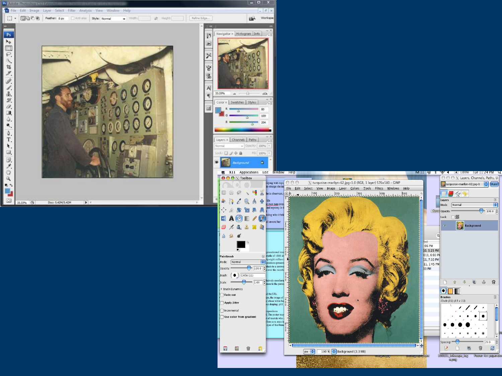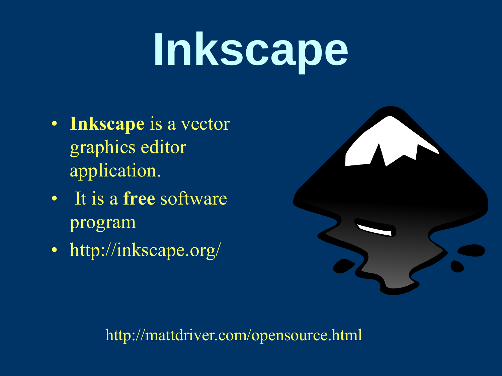# **Inkscape**

- **Inkscape** is a vector graphics editor application.
- It is a **free** software program
- http://inkscape.org/



### http://mattdriver.com/opensource.html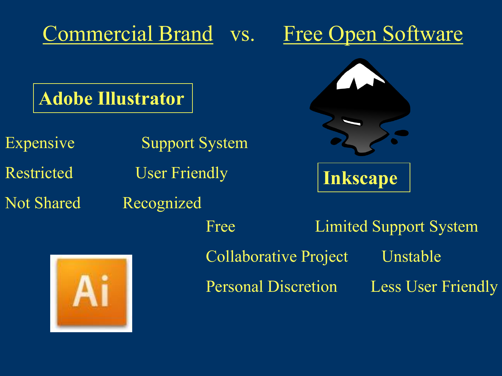|                                    | Commercial Brand vs.     |                              |  | Free Open Software            |                           |
|------------------------------------|--------------------------|------------------------------|--|-------------------------------|---------------------------|
|                                    | <b>Adobe Illustrator</b> |                              |  |                               |                           |
| Expensive                          | <b>Support System</b>    |                              |  |                               |                           |
| Restricted<br><b>User Friendly</b> |                          |                              |  | <b>Inkscape</b>               |                           |
| <b>Not Shared</b>                  | Recognized               |                              |  |                               |                           |
|                                    |                          | Free                         |  | <b>Limited Support System</b> |                           |
|                                    |                          | <b>Collaborative Project</b> |  | Unstable                      |                           |
|                                    |                          | <b>Personal Discretion</b>   |  |                               | <b>Less User Friendly</b> |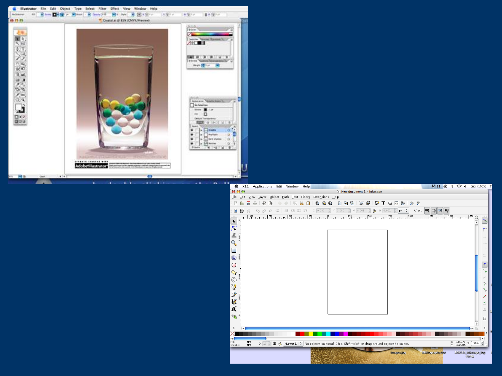